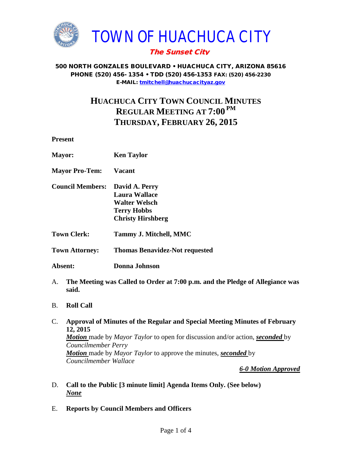

## The Sunset City

#### 500 NORTH GONZALES BOULEVARD • HUACHUCA CITY, ARIZONA 85616 PHONE (520) 456- 1354 • TDD (520) 456-1353 FAX: (520) 456-2230 E-MAIL: [tmitchell@huachucacityaz.gov](mailto:tmitchell@huachucacityaz.gov)

# **HUACHUCA CITY TOWN COUNCIL MINUTES REGULAR MEETING AT 7:00 PM THURSDAY, FEBRUARY 26, 2015**

**Present**

| <b>Mayor:</b>                                                                                | <b>Ken Taylor</b>                                                                                         |
|----------------------------------------------------------------------------------------------|-----------------------------------------------------------------------------------------------------------|
| <b>Mayor Pro-Tem:</b>                                                                        | Vacant                                                                                                    |
| <b>Council Members:</b>                                                                      | David A. Perry<br>Laura Wallace<br><b>Walter Welsch</b><br><b>Terry Hobbs</b><br><b>Christy Hirshberg</b> |
| <b>Town Clerk:</b>                                                                           | Tammy J. Mitchell, MMC                                                                                    |
| <b>Town Attorney:</b>                                                                        | <b>Thomas Benavidez-Not requested</b>                                                                     |
| Absent:                                                                                      | <b>Donna Johnson</b>                                                                                      |
| The Meeting was Called to Order at 7:00 p.m. and the Pledge of Allegiance was<br>A.<br>said. |                                                                                                           |

- B. **Roll Call**
- C. **Approval of Minutes of the Regular and Special Meeting Minutes of February 12, 2015** *Motion* made by *Mayor Taylor* to open for discussion and/or action, *seconded* by *Councilmember Perry Motion* made by *Mayor Taylor* to approve the minutes, *seconded* by *Councilmember Wallace*

*6-0 Motion Approved*

- D. **Call to the Public [3 minute limit] Agenda Items Only. (See below)** *None*
- E. **Reports by Council Members and Officers**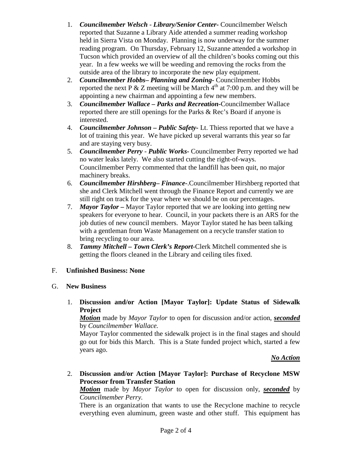- 1. *Councilmember Welsch - Library/Senior Center***-** Councilmember Welsch reported that Suzanne a Library Aide attended a summer reading workshop held in Sierra Vista on Monday. Planning is now underway for the summer reading program. On Thursday, February 12, Suzanne attended a workshop in Tucson which provided an overview of all the children's books coming out this year. In a few weeks we will be weeding and removing the rocks from the outside area of the library to incorporate the new play equipment.
- 2. *Councilmember Hobbs***–** *Planning and Zoning-* Councilmember Hobbs reported the next P  $&$  Z meeting will be March  $4<sup>th</sup>$  at 7:00 p.m. and they will be appointing a new chairman and appointing a few new members.
- 3. *Councilmember Wallace* **–** *Parks and Recreation***-**Councilmember Wallace reported there are still openings for the Parks & Rec's Board if anyone is interested.
- 4. *Councilmember Johnson – Public Safety-* Lt. Thiess reported that we have a lot of training this year. We have picked up several warrants this year so far and are staying very busy.
- 5. *Councilmember Perry Public Works-* Councilmember Perry reported we had no water leaks lately. We also started cutting the right-of-ways. Councilmember Perry commented that the landfill has been quit, no major machinery breaks.
- 6. *Councilmember Hirshberg***–** *Finance-*.Councilmember Hirshberg reported that she and Clerk Mitchell went through the Finance Report and currently we are still right on track for the year where we should be on our percentages.
- 7. *Mayor Taylor –* Mayor Taylor reported that we are looking into getting new speakers for everyone to hear. Council, in your packets there is an ARS for the job duties of new council members. Mayor Taylor stated he has been talking with a gentleman from Waste Management on a recycle transfer station to bring recycling to our area.
- 8. *Tammy Mitchell – Town Clerk's Report-*Clerk Mitchell commented she is getting the floors cleaned in the Library and ceiling tiles fixed.

### F. **Unfinished Business: None**

### G. **New Business**

1. **Discussion and/or Action [Mayor Taylor]: Update Status of Sidewalk Project**

*Motion* made by *Mayor Taylor* to open for discussion and/or action, *seconded* by *Councilmember Wallace.* 

Mayor Taylor commented the sidewalk project is in the final stages and should go out for bids this March. This is a State funded project which, started a few years ago.

### *No Action*

2. **Discussion and/or Action [Mayor Taylor]: Purchase of Recyclone MSW Processor from Transfer Station**

*Motion* made by *Mayor Taylor* to open for discussion only, *seconded* by *Councilmember Perry.* 

There is an organization that wants to use the Recyclone machine to recycle everything even aluminum, green waste and other stuff. This equipment has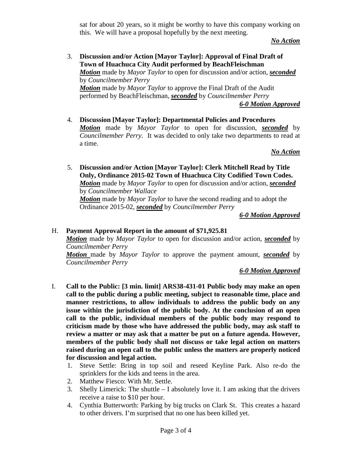sat for about 20 years, so it might be worthy to have this company working on this. We will have a proposal hopefully by the next meeting.

*No Action*

3. **Discussion and/or Action [Mayor Taylor]: Approval of Final Draft of Town of Huachuca City Audit performed by BeachFleischman** *Motion* made by *Mayor Taylor* to open for discussion and/or action, *seconded* by *Councilmember Perry Motion* made by *Mayor Taylor* to approve the Final Draft of the Audit performed by BeachFleischman, *seconded* by *Councilmember Perry*

*6-0 Motion Approved*

4. **Discussion [Mayor Taylor]: Departmental Policies and Procedures** *Motion* made by *Mayor Taylor* to open for discussion, *seconded* by *Councilmember Perry*. It was decided to only take two departments to read at a time.

*No Action*

5. **Discussion and/or Action [Mayor Taylor]: Clerk Mitchell Read by Title Only, Ordinance 2015-02 Town of Huachuca City Codified Town Codes.** *Motion* made by *Mayor Taylor* to open for discussion and/or action, *seconded* by *Councilmember Wallace Motion* made by *Mayor Taylor* to have the second reading and to adopt the Ordinance 2015-02, *seconded* by *Councilmember Perry*

*6-0 Motion Approved*

H. **Payment Approval Report in the amount of \$71,925.81**

*Motion* made by *Mayor Taylor* to open for discussion and/or action, *seconded* by *Councilmember Perry* 

*Motion* made by *Mayor Taylor* to approve the payment amount, *seconded* by *Councilmember Perry*

*6-0 Motion Approved*

- I. **Call to the Public: [3 min. limit] ARS38-431-01 Public body may make an open call to the public during a public meeting, subject to reasonable time, place and manner restrictions, to allow individuals to address the public body on any issue within the jurisdiction of the public body. At the conclusion of an open call to the public, individual members of the public body may respond to criticism made by those who have addressed the public body, may ask staff to review a matter or may ask that a matter be put on a future agenda. However, members of the public body shall not discuss or take legal action on matters raised during an open call to the public unless the matters are properly noticed for discussion and legal action.**
	- 1. Steve Settle: Bring in top soil and reseed Keyline Park. Also re-do the sprinklers for the kids and teens in the area.
	- 2. Matthew Fiesco: With Mr. Settle.
	- 3. Shelly Limerick: The shuttle I absolutely love it. I am asking that the drivers receive a raise to \$10 per hour.
	- 4. Cynthia Butterworth: Parking by big trucks on Clark St. This creates a hazard to other drivers. I'm surprised that no one has been killed yet.